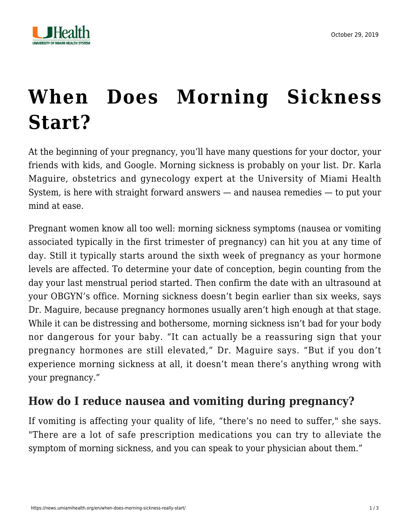

## **[When Does Morning Sickness](https://news.umiamihealth.org/en/when-does-morning-sickness-really-start/) [Start?](https://news.umiamihealth.org/en/when-does-morning-sickness-really-start/)**

At the beginning of your pregnancy, you'll have many questions for your doctor, your friends with kids, and Google. Morning sickness is probably on your list. [Dr. Karla](https://doctors.umiamihealth.org/provider/Karla+E+Maguire/525059?_ga=2.135512753.1201042734.1571612615-1940541531.1506175809) [Maguire](https://doctors.umiamihealth.org/provider/Karla+E+Maguire/525059?_ga=2.135512753.1201042734.1571612615-1940541531.1506175809), obstetrics and gynecology expert at the University of Miami Health System, is here with straight forward answers — and nausea remedies — to put your mind at ease.

Pregnant women know all too well: morning sickness symptoms (nausea or vomiting associated typically in the first trimester of pregnancy) can hit you at any time of day. Still it typically starts around the sixth week of pregnancy as your hormone levels are affected. To determine your date of conception, begin counting from the day your last menstrual period started. Then confirm the date with an ultrasound at your OBGYN's office. Morning sickness doesn't begin earlier than six weeks, says Dr. Maguire, because pregnancy hormones usually aren't high enough at that stage. While it can be distressing and bothersome, morning sickness isn't bad for your body nor dangerous for your baby. "It can actually be a reassuring sign that your pregnancy hormones are still elevated," Dr. Maguire says. "But if you don't experience morning sickness at all, it doesn't mean there's anything wrong with your pregnancy."

## **How do I reduce nausea and vomiting during pregnancy?**

If vomiting is affecting your quality of life, "there's no need to suffer," she says. "There are a lot of safe prescription medications you can try to alleviate the symptom of morning sickness, and you can speak to your physician about them."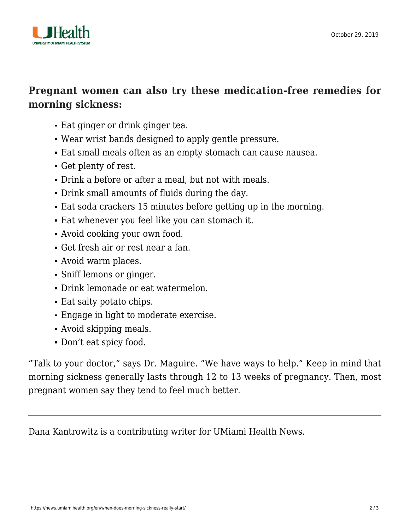

## **Pregnant women can also try these medication-free remedies for morning sickness:**

- Eat ginger or drink ginger tea.
- Wear wrist bands designed to apply gentle pressure.
- Eat small meals often as an empty stomach can cause nausea.
- Get plenty of rest.
- Drink a before or after a meal, but not with meals.
- Drink small amounts of fluids during the day.
- Eat soda crackers 15 minutes before getting up in the morning.
- Eat whenever you feel like you can stomach it.
- Avoid cooking your own food.
- Get fresh air or rest near a fan.
- Avoid warm places.
- Sniff lemons or ginger.
- Drink lemonade or eat watermelon.
- Eat salty potato chips.
- Engage in light to moderate exercise.
- Avoid skipping meals.
- Don't eat spicy food.

"Talk to your doctor," says Dr. Maguire. "We have ways to help." Keep in mind that morning sickness generally lasts through 12 to 13 weeks of pregnancy. Then, most pregnant women say they tend to feel much better.

Dana Kantrowitz is a contributing writer for UMiami Health News.